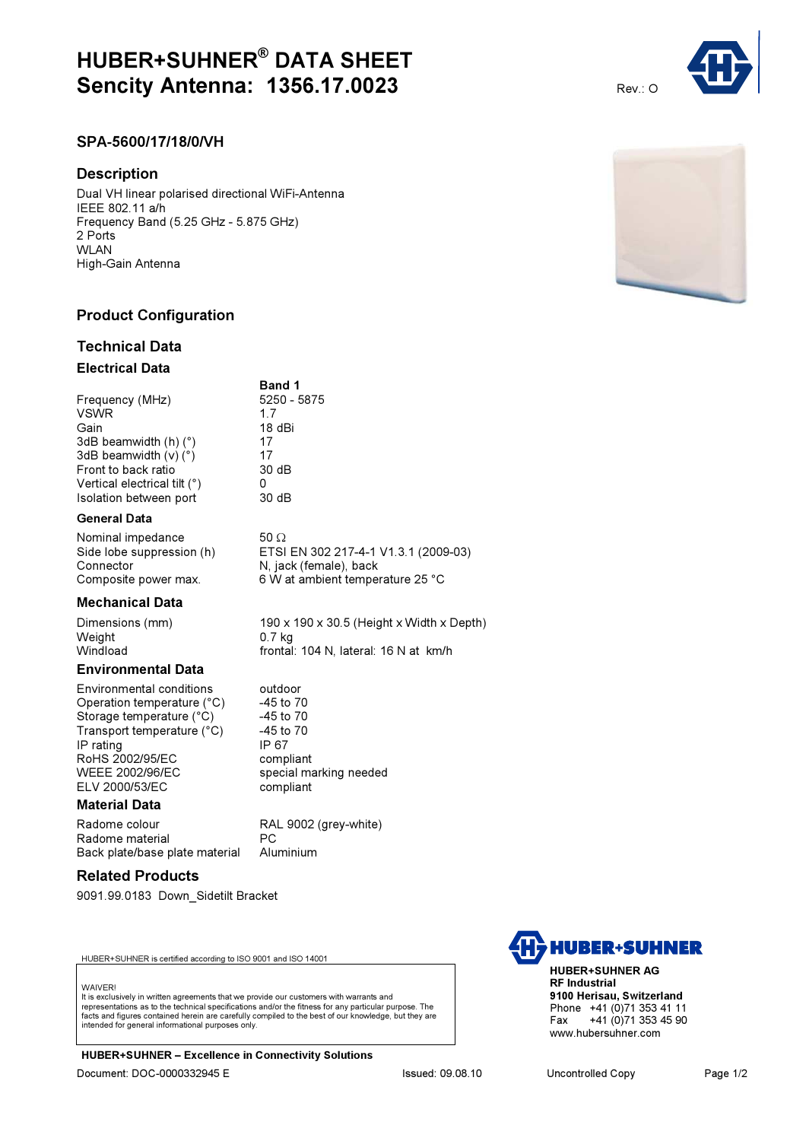# HUBER+SUHNER® DATA SHEET **Sencity Antenna: 1356.17.0023** Rev.: O

Band 1

18 dBi<br>17

## SPA-5600/17/18/0/VH

#### **Description**

Dual VH linear polarised directional WiFi-Antenna IEEE 802.11 a/h Frequency Band (5.25 GHz - 5.875 GHz) 2 Ports WI AN High-Gain Antenna

## Product Configuration

## Technical Data

#### Electrical Data

Frequency (MHz) 5250 - 5875 VSWR 1.7<br>Gain 1.8 3dB beamwidth  $(h)$  ( $°$ ) 3dB beamwidth  $(v)$  ( $\degree$ ) 17 Front to back ratio  $\overline{\phantom{a}}$  30 dB<br>Vertical electrical tilt (°)  $\overline{\phantom{a}}$  0 Vertical electrical tilt (°) 0<br>Isolation between port 30 dB Isolation between port

#### General Data

Nominal impedance 50 Ω<br>Side lobe suppression (h) ETSI Connector N, jack (female), back

#### Mechanical Data

Weight<br>Windload

Dimensions (mm) 190 x 190 x 30.5 (Height x Width x Depth)<br>  $0.7 \text{ kg}$ frontal: 104 N, lateral: 16 N at km/h

special marking needed

### Environmental Data

Environmental conditions outdoor Operation temperature (°C)  $-45$  to 70<br>Storage temperature (°C)  $-45$  to 70 Storage temperature (°C) Transport temperature  $(^{\circ}C)$  -45 to 70 IP rating IP 67 RoHS 2002/95/EC compliant<br>WEEE 2002/96/EC special ma ELV 2000/53/EC compliant

#### Material Data

Radome colour RAL 9002 (grey-white) Radome material end and PC<br>Back plate/base plate material Aluminium Back plate/base plate material

#### Related Products

9091.99.0183 Down\_Sidetilt Bracket

HUBER+SUHNER is certified according to ISO 9001 and ISO 14001

#### **WAIVER!**

It is exclusively in written agreements that we provide our customers with warrants and representations as to the technical specifications and/or the fitness for any particular purpose. The facts and figures contained herein are carefully compiled to the best of our knowledge, but they are intended for general informational purposes only.

HUBER+SUHNER – Excellence in Connectivity Solutions Document: DOC-0000332945 E Issued: 09.08.10 Uncontrolled Copy Page 1/2







HUBER+SUHNER AG RF Industrial 9100 Herisau, Switzerland Phone +41 (0)71 353 41 11<br>Fax +41 (0)71 353 45 90 +41 (0)71 353 45 90 www.hubersuhner.com